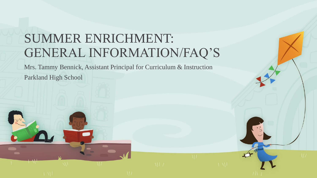# SUMMER ENRICHMENT: GENERAL INFORMATION/FAQ'S

Mrs. Tammy Bennick, Assistant Principal for Curriculum & Instruction

Parkland High School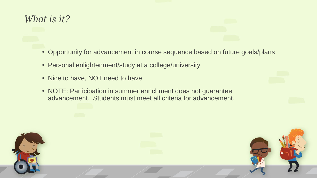## *What is it?*

- Opportunity for advancement in course sequence based on future goals/plans
- Personal enlightenment/study at a college/university
- Nice to have, NOT need to have
- NOTE: Participation in summer enrichment does not guarantee advancement. Students must meet all criteria for advancement.

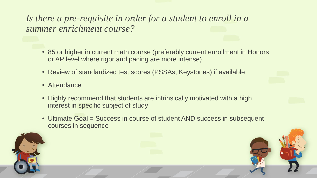*Is there a pre-requisite in order for a student to enroll in a summer enrichment course?*

- 85 or higher in current math course (preferably current enrollment in Honors or AP level where rigor and pacing are more intense)
- Review of standardized test scores (PSSAs, Keystones) if available
- Attendance
- Highly recommend that students are intrinsically motivated with a high interest in specific subject of study
- Ultimate Goal = Success in course of student AND success in subsequent courses in sequence

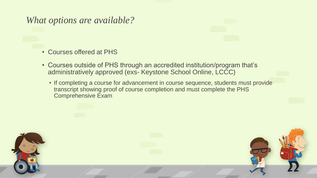#### *What options are available?*

- Courses offered at PHS
- Courses outside of PHS through an accredited institution/program that's administratively approved (exs- Keystone School Online, LCCC)
	- If completing a course for advancement in course sequence, students must provide transcript showing proof of course completion and must complete the PHS Comprehensive Exam

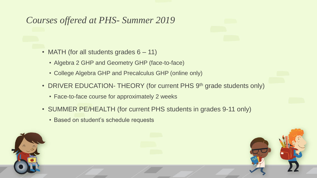### *Courses offered at PHS- Summer 2019*

- MATH (for all students grades 6 11)
	- Algebra 2 GHP and Geometry GHP (face-to-face)
	- College Algebra GHP and Precalculus GHP (online only)
- DRIVER EDUCATION- THEORY (for current PHS 9<sup>th</sup> grade students only)
	- Face-to-face course for approximately 2 weeks
- SUMMER PE/HEALTH (for current PHS students in grades 9-11 only)
	- Based on student's schedule requests

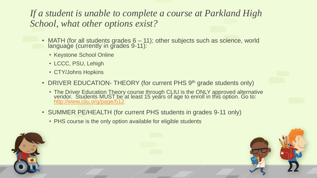#### *If a student is unable to complete a course at Parkland High School, what other options exist?*

- MATH (for all students grades 6 11); other subjects such as science, world language (currently in grades 9-11):
	- Keystone School Online
	- LCCC, PSU, Lehigh
	- CTY/Johns Hopkins
- DRIVER EDUCATION- THEORY (for current PHS 9<sup>th</sup> grade students only)
	- The Driver Education Theory course through CLIU is the ONLY approved alternative vendor. Students MUST be at least 15 years of age to enroll in this option. Go to: <http://www.cliu.org/page/512>
- SUMMER PE/HEALTH (for current PHS students in grades 9-11 only)
	- PHS course is the only option available for eligible students

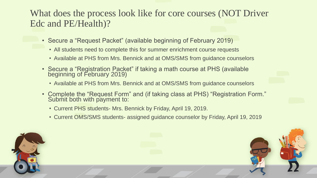#### What does the process look like for core courses (NOT Driver Edc and PE/Health)?

- Secure a "Request Packet" (available beginning of February 2019)
	- All students need to complete this for summer enrichment course requests
	- Available at PHS from Mrs. Bennick and at OMS/SMS from guidance counselors
- Secure a "Registration Packet" if taking a math course at PHS (available beginning of February 2019)
	- Available at PHS from Mrs. Bennick and at OMS/SMS from guidance counselors
- Complete the "Request Form" and (if taking class at PHS) "Registration Form." Submit both with payment to:
	- Current PHS students- Mrs. Bennick by Friday, April 19, 2019.
	- Current OMS/SMS students- assigned guidance counselor by Friday, April 19, 2019

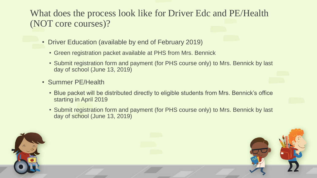What does the process look like for Driver Edc and PE/Health (NOT core courses)?

- Driver Education (available by end of February 2019)
	- Green registration packet available at PHS from Mrs. Bennick
	- Submit registration form and payment (for PHS course only) to Mrs. Bennick by last day of school (June 13, 2019)
- Summer PE/Health
	- Blue packet will be distributed directly to eligible students from Mrs. Bennick's office starting in April 2019
	- Submit registration form and payment (for PHS course only) to Mrs. Bennick by last day of school (June 13, 2019)

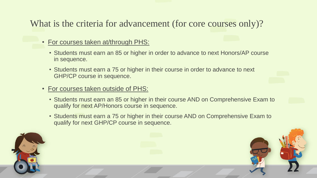### What is the criteria for advancement (for core courses only)?

- For courses taken at/through PHS:
	- Students must earn an 85 or higher in order to advance to next Honors/AP course in sequence.
	- Students must earn a 75 or higher in their course in order to advance to next GHP/CP course in sequence.
- For courses taken outside of PHS:
	- Students must earn an 85 or higher in their course AND on Comprehensive Exam to qualify for next AP/Honors course in sequence.
	- Students must earn a 75 or higher in their course AND on Comprehensive Exam to qualify for next GHP/CP course in sequence.

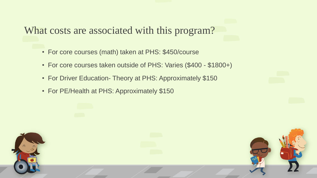What costs are associated with this program?

- For core courses (math) taken at PHS: \$450/course
- For core courses taken outside of PHS: Varies (\$400 \$1800+)
- For Driver Education- Theory at PHS: Approximately \$150
- For PE/Health at PHS: Approximately \$150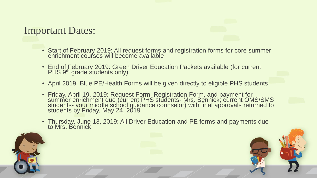#### Important Dates:

- Start of February 2019: All request forms and registration forms for core summer enrichment courses will become available
- End of February 2019: Green Driver Education Packets available (for current PHS 9<sup>th</sup> grade students only)
- April 2019: Blue PE/Health Forms will be given directly to eligible PHS students
- Friday, April 19, 2019: Request Form, Registration Form, and payment for summer enrichment due (current PHS students- Mrs. Bennick; current OMS/SMS students- your middle school guidance counselor) with final approvals returned to students by Friday, May 24, 2019
- Thursday, June 13, 2019: All Driver Education and PE forms and payments due to Mrs. Bennick